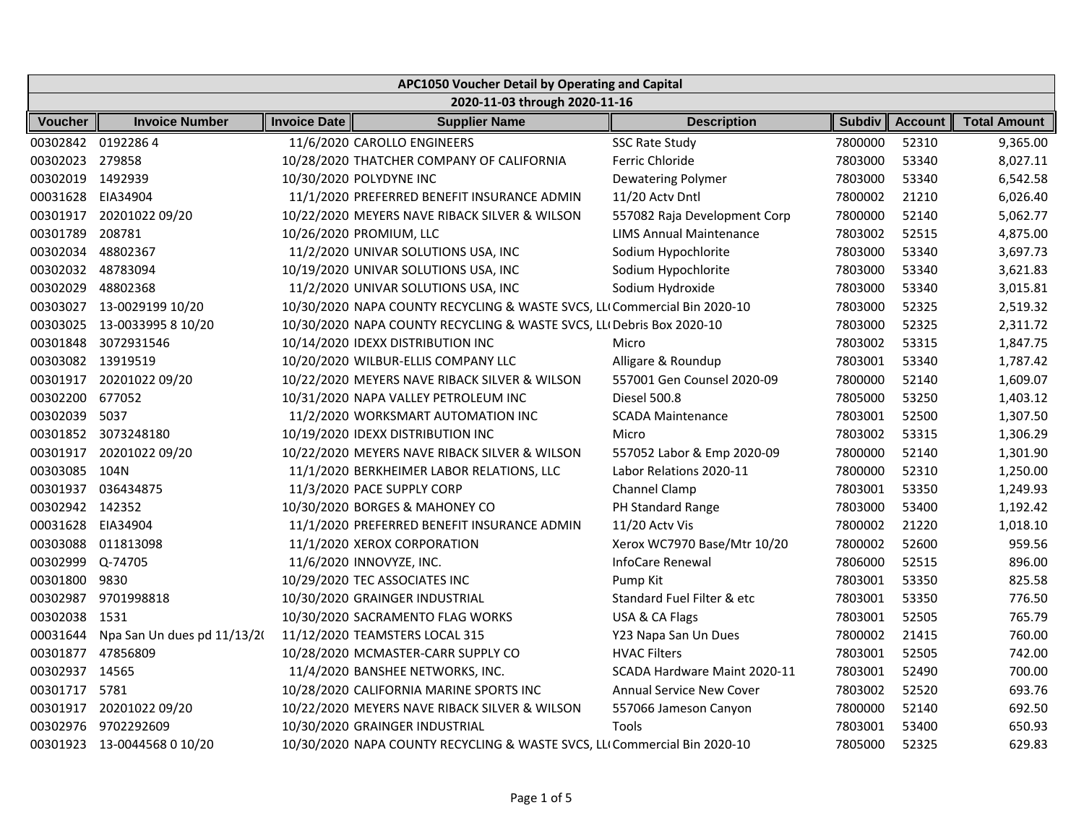| APC1050 Voucher Detail by Operating and Capital |                             |                     |                                                                           |                                 |               |                |                     |
|-------------------------------------------------|-----------------------------|---------------------|---------------------------------------------------------------------------|---------------------------------|---------------|----------------|---------------------|
| 2020-11-03 through 2020-11-16                   |                             |                     |                                                                           |                                 |               |                |                     |
| <b>Voucher</b>                                  | <b>Invoice Number</b>       | <b>Invoice Date</b> | <b>Supplier Name</b>                                                      | <b>Description</b>              | <b>Subdiv</b> | <b>Account</b> | <b>Total Amount</b> |
| 00302842 01922864                               |                             |                     | 11/6/2020 CAROLLO ENGINEERS                                               | <b>SSC Rate Study</b>           | 7800000       | 52310          | 9,365.00            |
| 00302023 279858                                 |                             |                     | 10/28/2020 THATCHER COMPANY OF CALIFORNIA                                 | Ferric Chloride                 | 7803000       | 53340          | 8,027.11            |
| 00302019 1492939                                |                             |                     | 10/30/2020 POLYDYNE INC                                                   | <b>Dewatering Polymer</b>       | 7803000       | 53340          | 6,542.58            |
| 00031628                                        | EIA34904                    |                     | 11/1/2020 PREFERRED BENEFIT INSURANCE ADMIN                               | 11/20 Actv Dntl                 | 7800002       | 21210          | 6,026.40            |
| 00301917                                        | 20201022 09/20              |                     | 10/22/2020 MEYERS NAVE RIBACK SILVER & WILSON                             | 557082 Raja Development Corp    | 7800000       | 52140          | 5,062.77            |
| 00301789                                        | 208781                      |                     | 10/26/2020 PROMIUM, LLC                                                   | <b>LIMS Annual Maintenance</b>  | 7803002       | 52515          | 4,875.00            |
| 00302034 48802367                               |                             |                     | 11/2/2020 UNIVAR SOLUTIONS USA, INC                                       | Sodium Hypochlorite             | 7803000       | 53340          | 3,697.73            |
| 00302032 48783094                               |                             |                     | 10/19/2020 UNIVAR SOLUTIONS USA, INC                                      | Sodium Hypochlorite             | 7803000       | 53340          | 3,621.83            |
| 00302029                                        | 48802368                    |                     | 11/2/2020 UNIVAR SOLUTIONS USA, INC                                       | Sodium Hydroxide                | 7803000       | 53340          | 3,015.81            |
|                                                 | 00303027 13-0029199 10/20   |                     | 10/30/2020 NAPA COUNTY RECYCLING & WASTE SVCS, LLI Commercial Bin 2020-10 |                                 | 7803000       | 52325          | 2,519.32            |
|                                                 | 00303025 13-0033995 8 10/20 |                     | 10/30/2020 NAPA COUNTY RECYCLING & WASTE SVCS, LLI Debris Box 2020-10     |                                 | 7803000       | 52325          | 2,311.72            |
| 00301848                                        | 3072931546                  |                     | 10/14/2020 IDEXX DISTRIBUTION INC                                         | Micro                           | 7803002       | 53315          | 1,847.75            |
| 00303082 13919519                               |                             |                     | 10/20/2020 WILBUR-ELLIS COMPANY LLC                                       | Alligare & Roundup              | 7803001       | 53340          | 1,787.42            |
|                                                 | 00301917 20201022 09/20     |                     | 10/22/2020 MEYERS NAVE RIBACK SILVER & WILSON                             | 557001 Gen Counsel 2020-09      | 7800000       | 52140          | 1,609.07            |
| 00302200 677052                                 |                             |                     | 10/31/2020 NAPA VALLEY PETROLEUM INC                                      | Diesel 500.8                    | 7805000       | 53250          | 1,403.12            |
| 00302039                                        | 5037                        |                     | 11/2/2020 WORKSMART AUTOMATION INC                                        | <b>SCADA Maintenance</b>        | 7803001       | 52500          | 1,307.50            |
|                                                 | 00301852 3073248180         |                     | 10/19/2020 IDEXX DISTRIBUTION INC                                         | Micro                           | 7803002       | 53315          | 1,306.29            |
| 00301917                                        | 20201022 09/20              |                     | 10/22/2020 MEYERS NAVE RIBACK SILVER & WILSON                             | 557052 Labor & Emp 2020-09      | 7800000       | 52140          | 1,301.90            |
| 00303085                                        | 104N                        |                     | 11/1/2020 BERKHEIMER LABOR RELATIONS, LLC                                 | Labor Relations 2020-11         | 7800000       | 52310          | 1,250.00            |
| 00301937                                        | 036434875                   |                     | 11/3/2020 PACE SUPPLY CORP                                                | Channel Clamp                   | 7803001       | 53350          | 1,249.93            |
| 00302942 142352                                 |                             |                     | 10/30/2020 BORGES & MAHONEY CO                                            | PH Standard Range               | 7803000       | 53400          | 1,192.42            |
| 00031628 EIA34904                               |                             |                     | 11/1/2020 PREFERRED BENEFIT INSURANCE ADMIN                               | 11/20 Actv Vis                  | 7800002       | 21220          | 1,018.10            |
| 00303088                                        | 011813098                   |                     | 11/1/2020 XEROX CORPORATION                                               | Xerox WC7970 Base/Mtr 10/20     | 7800002       | 52600          | 959.56              |
| 00302999                                        | Q-74705                     |                     | 11/6/2020 INNOVYZE, INC.                                                  | InfoCare Renewal                | 7806000       | 52515          | 896.00              |
| 00301800                                        | 9830                        |                     | 10/29/2020 TEC ASSOCIATES INC                                             | Pump Kit                        | 7803001       | 53350          | 825.58              |
| 00302987                                        | 9701998818                  |                     | 10/30/2020 GRAINGER INDUSTRIAL                                            | Standard Fuel Filter & etc      | 7803001       | 53350          | 776.50              |
| 00302038                                        | 1531                        |                     | 10/30/2020 SACRAMENTO FLAG WORKS                                          | USA & CA Flags                  | 7803001       | 52505          | 765.79              |
| 00031644                                        | Npa San Un dues pd 11/13/2( |                     | 11/12/2020 TEAMSTERS LOCAL 315                                            | Y23 Napa San Un Dues            | 7800002       | 21415          | 760.00              |
| 00301877                                        | 47856809                    |                     | 10/28/2020 MCMASTER-CARR SUPPLY CO                                        | <b>HVAC Filters</b>             | 7803001       | 52505          | 742.00              |
| 00302937                                        | 14565                       |                     | 11/4/2020 BANSHEE NETWORKS, INC.                                          | SCADA Hardware Maint 2020-11    | 7803001       | 52490          | 700.00              |
| 00301717                                        | 5781                        |                     | 10/28/2020 CALIFORNIA MARINE SPORTS INC                                   | <b>Annual Service New Cover</b> | 7803002       | 52520          | 693.76              |
| 00301917                                        | 20201022 09/20              |                     | 10/22/2020 MEYERS NAVE RIBACK SILVER & WILSON                             | 557066 Jameson Canyon           | 7800000       | 52140          | 692.50              |
| 00302976                                        | 9702292609                  |                     | 10/30/2020 GRAINGER INDUSTRIAL                                            | Tools                           | 7803001       | 53400          | 650.93              |
|                                                 | 00301923 13-0044568 0 10/20 |                     | 10/30/2020 NAPA COUNTY RECYCLING & WASTE SVCS, LLI Commercial Bin 2020-10 |                                 | 7805000       | 52325          | 629.83              |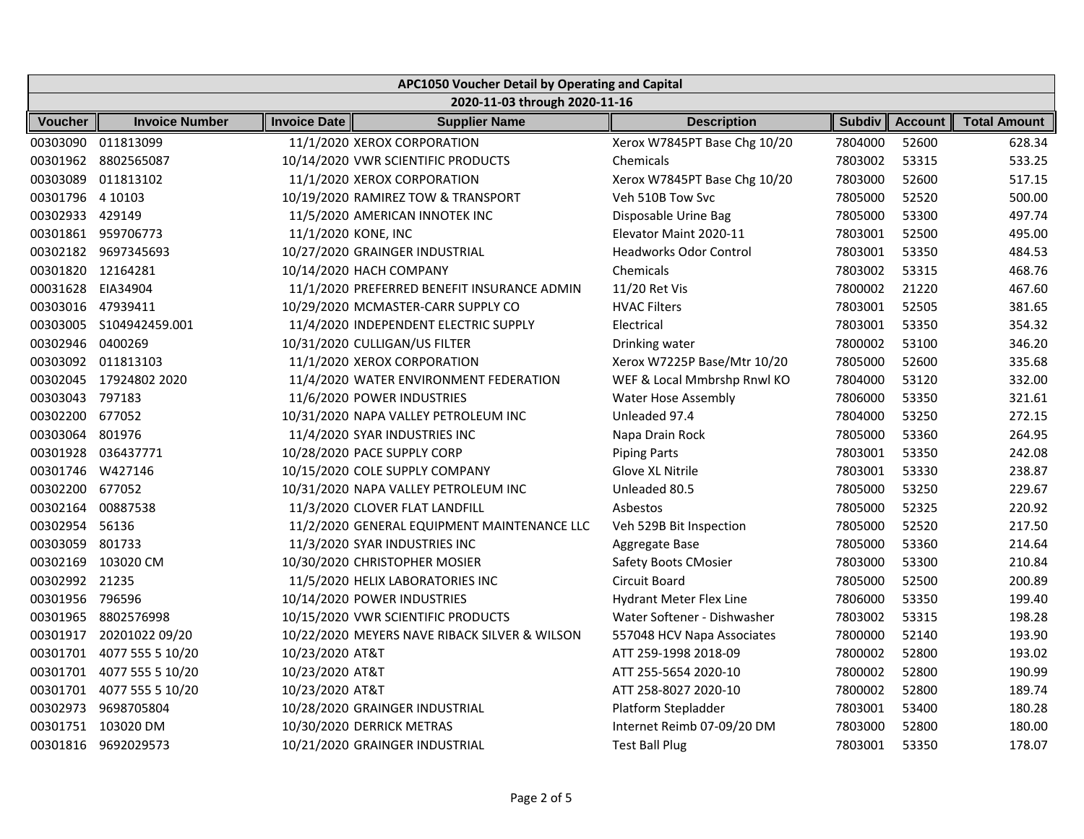| APC1050 Voucher Detail by Operating and Capital |                           |                     |                                               |                               |               |                |                     |
|-------------------------------------------------|---------------------------|---------------------|-----------------------------------------------|-------------------------------|---------------|----------------|---------------------|
| 2020-11-03 through 2020-11-16                   |                           |                     |                                               |                               |               |                |                     |
| <b>Voucher</b>                                  | <b>Invoice Number</b>     | <b>Invoice Date</b> | <b>Supplier Name</b>                          | <b>Description</b>            | <b>Subdiv</b> | <b>Account</b> | <b>Total Amount</b> |
| 00303090                                        | 011813099                 |                     | 11/1/2020 XEROX CORPORATION                   | Xerox W7845PT Base Chg 10/20  | 7804000       | 52600          | 628.34              |
|                                                 | 00301962 8802565087       |                     | 10/14/2020 VWR SCIENTIFIC PRODUCTS            | Chemicals                     | 7803002       | 53315          | 533.25              |
| 00303089                                        | 011813102                 |                     | 11/1/2020 XEROX CORPORATION                   | Xerox W7845PT Base Chg 10/20  | 7803000       | 52600          | 517.15              |
| 00301796 4 10103                                |                           |                     | 10/19/2020 RAMIREZ TOW & TRANSPORT            | Veh 510B Tow Svc              | 7805000       | 52520          | 500.00              |
| 00302933 429149                                 |                           |                     | 11/5/2020 AMERICAN INNOTEK INC                | Disposable Urine Bag          | 7805000       | 53300          | 497.74              |
|                                                 | 00301861 959706773        | 11/1/2020 KONE, INC |                                               | Elevator Maint 2020-11        | 7803001       | 52500          | 495.00              |
|                                                 | 00302182 9697345693       |                     | 10/27/2020 GRAINGER INDUSTRIAL                | <b>Headworks Odor Control</b> | 7803001       | 53350          | 484.53              |
| 00301820 12164281                               |                           |                     | 10/14/2020 HACH COMPANY                       | Chemicals                     | 7803002       | 53315          | 468.76              |
| 00031628 EIA34904                               |                           |                     | 11/1/2020 PREFERRED BENEFIT INSURANCE ADMIN   | 11/20 Ret Vis                 | 7800002       | 21220          | 467.60              |
| 00303016 47939411                               |                           |                     | 10/29/2020 MCMASTER-CARR SUPPLY CO            | <b>HVAC Filters</b>           | 7803001       | 52505          | 381.65              |
|                                                 | 00303005 S104942459.001   |                     | 11/4/2020 INDEPENDENT ELECTRIC SUPPLY         | Electrical                    | 7803001       | 53350          | 354.32              |
| 00302946                                        | 0400269                   |                     | 10/31/2020 CULLIGAN/US FILTER                 | Drinking water                | 7800002       | 53100          | 346.20              |
|                                                 | 00303092 011813103        |                     | 11/1/2020 XEROX CORPORATION                   | Xerox W7225P Base/Mtr 10/20   | 7805000       | 52600          | 335.68              |
|                                                 | 00302045 17924802 2020    |                     | 11/4/2020 WATER ENVIRONMENT FEDERATION        | WEF & Local Mmbrshp Rnwl KO   | 7804000       | 53120          | 332.00              |
| 00303043 797183                                 |                           |                     | 11/6/2020 POWER INDUSTRIES                    | <b>Water Hose Assembly</b>    | 7806000       | 53350          | 321.61              |
| 00302200 677052                                 |                           |                     | 10/31/2020 NAPA VALLEY PETROLEUM INC          | Unleaded 97.4                 | 7804000       | 53250          | 272.15              |
| 00303064 801976                                 |                           |                     | 11/4/2020 SYAR INDUSTRIES INC                 | Napa Drain Rock               | 7805000       | 53360          | 264.95              |
|                                                 | 00301928 036437771        |                     | 10/28/2020 PACE SUPPLY CORP                   | <b>Piping Parts</b>           | 7803001       | 53350          | 242.08              |
| 00301746 W427146                                |                           |                     | 10/15/2020 COLE SUPPLY COMPANY                | Glove XL Nitrile              | 7803001       | 53330          | 238.87              |
| 00302200 677052                                 |                           |                     | 10/31/2020 NAPA VALLEY PETROLEUM INC          | Unleaded 80.5                 | 7805000       | 53250          | 229.67              |
| 00302164                                        | 00887538                  |                     | 11/3/2020 CLOVER FLAT LANDFILL                | Asbestos                      | 7805000       | 52325          | 220.92              |
| 00302954 56136                                  |                           |                     | 11/2/2020 GENERAL EQUIPMENT MAINTENANCE LLC   | Veh 529B Bit Inspection       | 7805000       | 52520          | 217.50              |
| 00303059                                        | 801733                    |                     | 11/3/2020 SYAR INDUSTRIES INC                 | Aggregate Base                | 7805000       | 53360          | 214.64              |
|                                                 | 00302169 103020 CM        |                     | 10/30/2020 CHRISTOPHER MOSIER                 | Safety Boots CMosier          | 7803000       | 53300          | 210.84              |
| 00302992 21235                                  |                           |                     | 11/5/2020 HELIX LABORATORIES INC              | Circuit Board                 | 7805000       | 52500          | 200.89              |
| 00301956 796596                                 |                           |                     | 10/14/2020 POWER INDUSTRIES                   | Hydrant Meter Flex Line       | 7806000       | 53350          | 199.40              |
|                                                 | 00301965 8802576998       |                     | 10/15/2020 VWR SCIENTIFIC PRODUCTS            | Water Softener - Dishwasher   | 7803002       | 53315          | 198.28              |
| 00301917                                        | 20201022 09/20            |                     | 10/22/2020 MEYERS NAVE RIBACK SILVER & WILSON | 557048 HCV Napa Associates    | 7800000       | 52140          | 193.90              |
|                                                 | 00301701 4077 555 5 10/20 | 10/23/2020 AT&T     |                                               | ATT 259-1998 2018-09          | 7800002       | 52800          | 193.02              |
|                                                 | 00301701 4077 555 5 10/20 | 10/23/2020 AT&T     |                                               | ATT 255-5654 2020-10          | 7800002       | 52800          | 190.99              |
|                                                 | 00301701 4077 555 5 10/20 | 10/23/2020 AT&T     |                                               | ATT 258-8027 2020-10          | 7800002       | 52800          | 189.74              |
| 00302973                                        | 9698705804                |                     | 10/28/2020 GRAINGER INDUSTRIAL                | Platform Stepladder           | 7803001       | 53400          | 180.28              |
|                                                 | 00301751 103020 DM        |                     | 10/30/2020 DERRICK METRAS                     | Internet Reimb 07-09/20 DM    | 7803000       | 52800          | 180.00              |
|                                                 | 00301816 9692029573       |                     | 10/21/2020 GRAINGER INDUSTRIAL                | <b>Test Ball Plug</b>         | 7803001       | 53350          | 178.07              |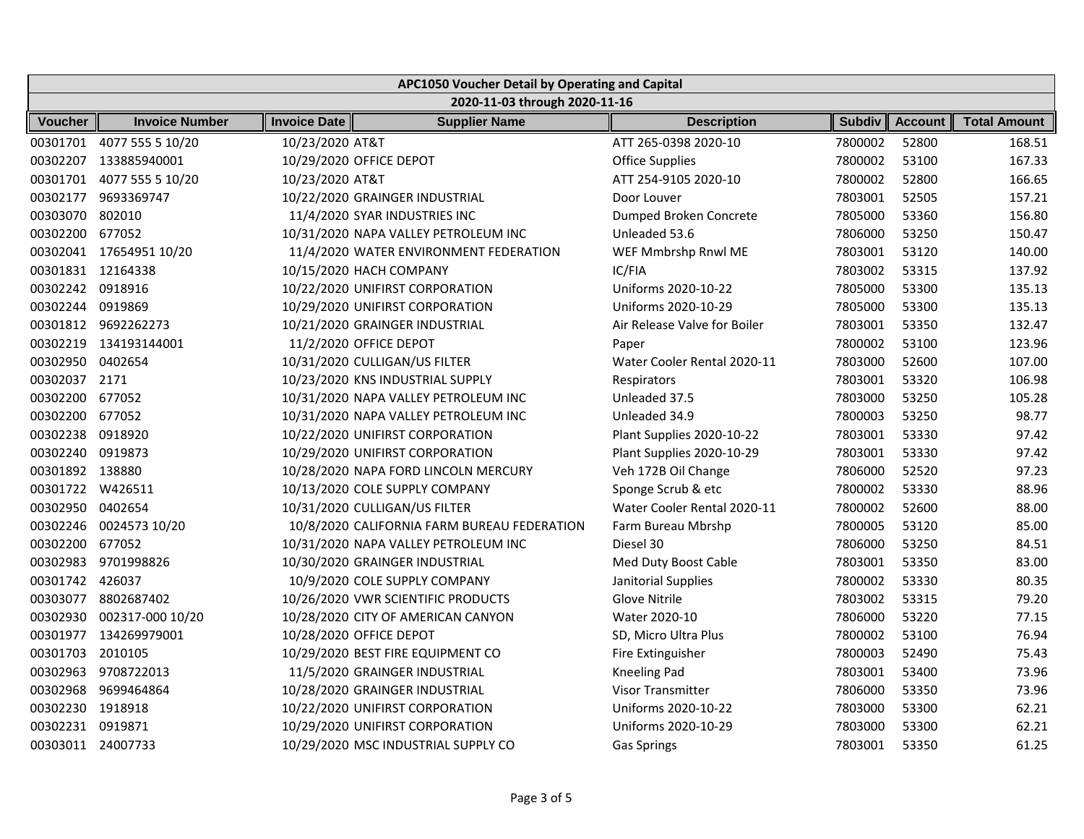| APC1050 Voucher Detail by Operating and Capital |                               |                     |                                             |                              |               |                |                     |
|-------------------------------------------------|-------------------------------|---------------------|---------------------------------------------|------------------------------|---------------|----------------|---------------------|
|                                                 | 2020-11-03 through 2020-11-16 |                     |                                             |                              |               |                |                     |
| <b>Voucher</b>                                  | <b>Invoice Number</b>         | <b>Invoice Date</b> | <b>Supplier Name</b>                        | <b>Description</b>           | <b>Subdiv</b> | <b>Account</b> | <b>Total Amount</b> |
|                                                 | 00301701 4077 555 5 10/20     | 10/23/2020 AT&T     |                                             | ATT 265-0398 2020-10         | 7800002       | 52800          | 168.51              |
|                                                 | 00302207 133885940001         |                     | 10/29/2020 OFFICE DEPOT                     | <b>Office Supplies</b>       | 7800002       | 53100          | 167.33              |
|                                                 | 00301701 4077 555 5 10/20     | 10/23/2020 AT&T     |                                             | ATT 254-9105 2020-10         | 7800002       | 52800          | 166.65              |
|                                                 | 00302177 9693369747           |                     | 10/22/2020 GRAINGER INDUSTRIAL              | Door Louver                  | 7803001       | 52505          | 157.21              |
| 00303070 802010                                 |                               |                     | 11/4/2020 SYAR INDUSTRIES INC               | Dumped Broken Concrete       | 7805000       | 53360          | 156.80              |
| 00302200 677052                                 |                               |                     | 10/31/2020 NAPA VALLEY PETROLEUM INC        | Unleaded 53.6                | 7806000       | 53250          | 150.47              |
|                                                 | 00302041 17654951 10/20       |                     | 11/4/2020 WATER ENVIRONMENT FEDERATION      | WEF Mmbrshp Rnwl ME          | 7803001       | 53120          | 140.00              |
| 00301831 12164338                               |                               |                     | 10/15/2020 HACH COMPANY                     | IC/FIA                       | 7803002       | 53315          | 137.92              |
| 00302242 0918916                                |                               |                     | 10/22/2020 UNIFIRST CORPORATION             | Uniforms 2020-10-22          | 7805000       | 53300          | 135.13              |
| 00302244 0919869                                |                               |                     | 10/29/2020 UNIFIRST CORPORATION             | Uniforms 2020-10-29          | 7805000       | 53300          | 135.13              |
|                                                 | 00301812 9692262273           |                     | 10/21/2020 GRAINGER INDUSTRIAL              | Air Release Valve for Boiler | 7803001       | 53350          | 132.47              |
|                                                 | 00302219 134193144001         |                     | 11/2/2020 OFFICE DEPOT                      | Paper                        | 7800002       | 53100          | 123.96              |
| 00302950 0402654                                |                               |                     | 10/31/2020 CULLIGAN/US FILTER               | Water Cooler Rental 2020-11  | 7803000       | 52600          | 107.00              |
| 00302037 2171                                   |                               |                     | 10/23/2020 KNS INDUSTRIAL SUPPLY            | Respirators                  | 7803001       | 53320          | 106.98              |
| 00302200 677052                                 |                               |                     | 10/31/2020 NAPA VALLEY PETROLEUM INC        | Unleaded 37.5                | 7803000       | 53250          | 105.28              |
| 00302200 677052                                 |                               |                     | 10/31/2020 NAPA VALLEY PETROLEUM INC        | Unleaded 34.9                | 7800003       | 53250          | 98.77               |
| 00302238 0918920                                |                               |                     | 10/22/2020 UNIFIRST CORPORATION             | Plant Supplies 2020-10-22    | 7803001       | 53330          | 97.42               |
| 00302240 0919873                                |                               |                     | 10/29/2020 UNIFIRST CORPORATION             | Plant Supplies 2020-10-29    | 7803001       | 53330          | 97.42               |
| 00301892 138880                                 |                               |                     | 10/28/2020 NAPA FORD LINCOLN MERCURY        | Veh 172B Oil Change          | 7806000       | 52520          | 97.23               |
| 00301722 W426511                                |                               |                     | 10/13/2020 COLE SUPPLY COMPANY              | Sponge Scrub & etc           | 7800002       | 53330          | 88.96               |
| 00302950 0402654                                |                               |                     | 10/31/2020 CULLIGAN/US FILTER               | Water Cooler Rental 2020-11  | 7800002       | 52600          | 88.00               |
|                                                 | 00302246 0024573 10/20        |                     | 10/8/2020 CALIFORNIA FARM BUREAU FEDERATION | Farm Bureau Mbrshp           | 7800005       | 53120          | 85.00               |
| 00302200 677052                                 |                               |                     | 10/31/2020 NAPA VALLEY PETROLEUM INC        | Diesel 30                    | 7806000       | 53250          | 84.51               |
| 00302983                                        | 9701998826                    |                     | 10/30/2020 GRAINGER INDUSTRIAL              | Med Duty Boost Cable         | 7803001       | 53350          | 83.00               |
| 00301742 426037                                 |                               |                     | 10/9/2020 COLE SUPPLY COMPANY               | Janitorial Supplies          | 7800002       | 53330          | 80.35               |
| 00303077                                        | 8802687402                    |                     | 10/26/2020 VWR SCIENTIFIC PRODUCTS          | Glove Nitrile                | 7803002       | 53315          | 79.20               |
| 00302930                                        | 002317-000 10/20              |                     | 10/28/2020 CITY OF AMERICAN CANYON          | Water 2020-10                | 7806000       | 53220          | 77.15               |
|                                                 | 00301977 134269979001         |                     | 10/28/2020 OFFICE DEPOT                     | SD, Micro Ultra Plus         | 7800002       | 53100          | 76.94               |
| 00301703                                        | 2010105                       |                     | 10/29/2020 BEST FIRE EQUIPMENT CO           | Fire Extinguisher            | 7800003       | 52490          | 75.43               |
|                                                 | 00302963 9708722013           |                     | 11/5/2020 GRAINGER INDUSTRIAL               | Kneeling Pad                 | 7803001       | 53400          | 73.96               |
|                                                 | 00302968 9699464864           |                     | 10/28/2020 GRAINGER INDUSTRIAL              | Visor Transmitter            | 7806000       | 53350          | 73.96               |
| 00302230 1918918                                |                               |                     | 10/22/2020 UNIFIRST CORPORATION             | Uniforms 2020-10-22          | 7803000       | 53300          | 62.21               |
| 00302231 0919871                                |                               |                     | 10/29/2020 UNIFIRST CORPORATION             | Uniforms 2020-10-29          | 7803000       | 53300          | 62.21               |
| 00303011 24007733                               |                               |                     | 10/29/2020 MSC INDUSTRIAL SUPPLY CO         | <b>Gas Springs</b>           | 7803001       | 53350          | 61.25               |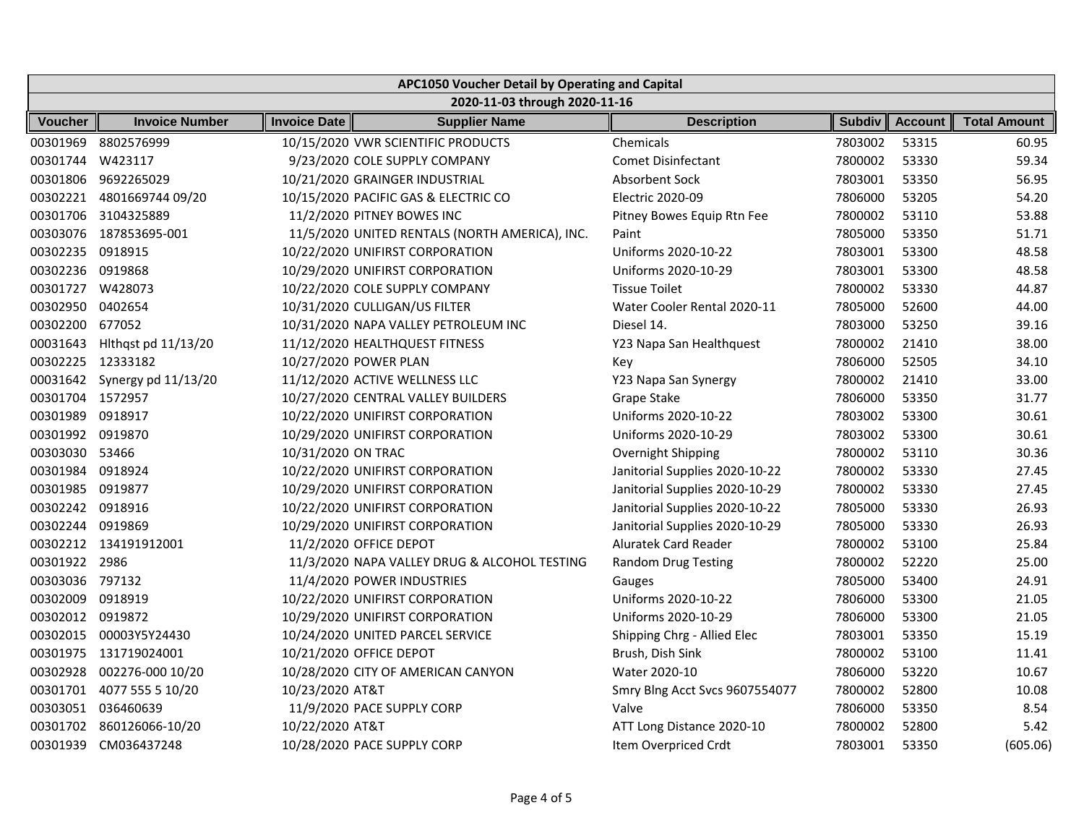| APC1050 Voucher Detail by Operating and Capital |                              |                     |                                                |                                |               |                |                     |
|-------------------------------------------------|------------------------------|---------------------|------------------------------------------------|--------------------------------|---------------|----------------|---------------------|
| 2020-11-03 through 2020-11-16                   |                              |                     |                                                |                                |               |                |                     |
| <b>Voucher</b>                                  | <b>Invoice Number</b>        | <b>Invoice Date</b> | <b>Supplier Name</b>                           | <b>Description</b>             | <b>Subdiv</b> | <b>Account</b> | <b>Total Amount</b> |
| 00301969                                        | 8802576999                   |                     | 10/15/2020 VWR SCIENTIFIC PRODUCTS             | Chemicals                      | 7803002       | 53315          | 60.95               |
| 00301744 W423117                                |                              |                     | 9/23/2020 COLE SUPPLY COMPANY                  | <b>Comet Disinfectant</b>      | 7800002       | 53330          | 59.34               |
|                                                 | 00301806 9692265029          |                     | 10/21/2020 GRAINGER INDUSTRIAL                 | Absorbent Sock                 | 7803001       | 53350          | 56.95               |
|                                                 | 00302221 4801669744 09/20    |                     | 10/15/2020 PACIFIC GAS & ELECTRIC CO           | Electric 2020-09               | 7806000       | 53205          | 54.20               |
|                                                 | 00301706 3104325889          |                     | 11/2/2020 PITNEY BOWES INC                     | Pitney Bowes Equip Rtn Fee     | 7800002       | 53110          | 53.88               |
|                                                 | 00303076 187853695-001       |                     | 11/5/2020 UNITED RENTALS (NORTH AMERICA), INC. | Paint                          | 7805000       | 53350          | 51.71               |
| 00302235 0918915                                |                              |                     | 10/22/2020 UNIFIRST CORPORATION                | Uniforms 2020-10-22            | 7803001       | 53300          | 48.58               |
| 00302236 0919868                                |                              |                     | 10/29/2020 UNIFIRST CORPORATION                | Uniforms 2020-10-29            | 7803001       | 53300          | 48.58               |
| 00301727 W428073                                |                              |                     | 10/22/2020 COLE SUPPLY COMPANY                 | <b>Tissue Toilet</b>           | 7800002       | 53330          | 44.87               |
| 00302950                                        | 0402654                      |                     | 10/31/2020 CULLIGAN/US FILTER                  | Water Cooler Rental 2020-11    | 7805000       | 52600          | 44.00               |
| 00302200 677052                                 |                              |                     | 10/31/2020 NAPA VALLEY PETROLEUM INC           | Diesel 14.                     | 7803000       | 53250          | 39.16               |
|                                                 | 00031643 Hlthqst pd 11/13/20 |                     | 11/12/2020 HEALTHQUEST FITNESS                 | Y23 Napa San Healthquest       | 7800002       | 21410          | 38.00               |
| 00302225 12333182                               |                              |                     | 10/27/2020 POWER PLAN                          | Key                            | 7806000       | 52505          | 34.10               |
|                                                 | 00031642 Synergy pd 11/13/20 |                     | 11/12/2020 ACTIVE WELLNESS LLC                 | Y23 Napa San Synergy           | 7800002       | 21410          | 33.00               |
| 00301704 1572957                                |                              |                     | 10/27/2020 CENTRAL VALLEY BUILDERS             | Grape Stake                    | 7806000       | 53350          | 31.77               |
| 00301989                                        | 0918917                      |                     | 10/22/2020 UNIFIRST CORPORATION                | Uniforms 2020-10-22            | 7803002       | 53300          | 30.61               |
| 00301992 0919870                                |                              |                     | 10/29/2020 UNIFIRST CORPORATION                | Uniforms 2020-10-29            | 7803002       | 53300          | 30.61               |
| 00303030 53466                                  |                              | 10/31/2020 ON TRAC  |                                                | Overnight Shipping             | 7800002       | 53110          | 30.36               |
| 00301984 0918924                                |                              |                     | 10/22/2020 UNIFIRST CORPORATION                | Janitorial Supplies 2020-10-22 | 7800002       | 53330          | 27.45               |
| 00301985 0919877                                |                              |                     | 10/29/2020 UNIFIRST CORPORATION                | Janitorial Supplies 2020-10-29 | 7800002       | 53330          | 27.45               |
| 00302242 0918916                                |                              |                     | 10/22/2020 UNIFIRST CORPORATION                | Janitorial Supplies 2020-10-22 | 7805000       | 53330          | 26.93               |
| 00302244 0919869                                |                              |                     | 10/29/2020 UNIFIRST CORPORATION                | Janitorial Supplies 2020-10-29 | 7805000       | 53330          | 26.93               |
|                                                 | 00302212 134191912001        |                     | 11/2/2020 OFFICE DEPOT                         | Aluratek Card Reader           | 7800002       | 53100          | 25.84               |
| 00301922 2986                                   |                              |                     | 11/3/2020 NAPA VALLEY DRUG & ALCOHOL TESTING   | Random Drug Testing            | 7800002       | 52220          | 25.00               |
| 00303036 797132                                 |                              |                     | 11/4/2020 POWER INDUSTRIES                     | Gauges                         | 7805000       | 53400          | 24.91               |
| 00302009                                        | 0918919                      |                     | 10/22/2020 UNIFIRST CORPORATION                | Uniforms 2020-10-22            | 7806000       | 53300          | 21.05               |
| 00302012 0919872                                |                              |                     | 10/29/2020 UNIFIRST CORPORATION                | Uniforms 2020-10-29            | 7806000       | 53300          | 21.05               |
|                                                 | 00302015 00003Y5Y24430       |                     | 10/24/2020 UNITED PARCEL SERVICE               | Shipping Chrg - Allied Elec    | 7803001       | 53350          | 15.19               |
|                                                 | 00301975 131719024001        |                     | 10/21/2020 OFFICE DEPOT                        | Brush, Dish Sink               | 7800002       | 53100          | 11.41               |
|                                                 | 00302928 002276-000 10/20    |                     | 10/28/2020 CITY OF AMERICAN CANYON             | Water 2020-10                  | 7806000       | 53220          | 10.67               |
|                                                 | 00301701 4077 555 5 10/20    | 10/23/2020 AT&T     |                                                | Smry Blng Acct Svcs 9607554077 | 7800002       | 52800          | 10.08               |
|                                                 | 00303051 036460639           |                     | 11/9/2020 PACE SUPPLY CORP                     | Valve                          | 7806000       | 53350          | 8.54                |
|                                                 | 00301702 860126066-10/20     | 10/22/2020 AT&T     |                                                | ATT Long Distance 2020-10      | 7800002       | 52800          | 5.42                |
|                                                 | 00301939 CM036437248         |                     | 10/28/2020 PACE SUPPLY CORP                    | Item Overpriced Crdt           | 7803001       | 53350          | (605.06)            |